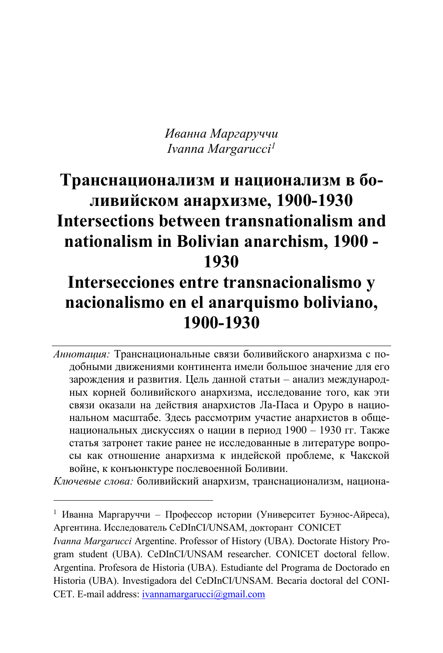*Иванна Маргаруччи Ivanna Margarucci1*

# **Транснационализм и национализм в боливийском анархизме, 1900-1930 Intersections between transnationalism and nationalism in Bolivian anarchism, 1900 - 1930**

# **Intersecciones entre transnacionalismo y nacionalismo en el anarquismo boliviano, 1900-1930**

*Аннотация:* Транснациональные связи боливийского анархизма с подобными движениями континента имели большое значение для его зарождения и развития. Цель данной статьи – анализ международных корней боливийского анархизма, исследование того, как эти связи оказали на действия анархистов Ла-Паса и Оруро в национальном масштабе. Здесь рассмотрим участие анархистов в общенациональных дискуссиях о нации в период 1900 – 1930 гг. Также статья затронет такие ранее не исследованные в литературе вопросы как отношение анархизма к индейской проблеме, к Чакской войне, к конъюнктуре послевоенной Боливии.

*Ключевые слова:* боливийский анархизм, транснационализм, национа-

<sup>1</sup> Иванна Маргаруччи – Профессор истории (Университет Буэнос-Айреса), Аргентина. Исследователь CeDInCI/UNSAM, докторант CONICET

*Ivanna Margarucci* Argentine. Professor of History (UBA). Doctorate History Program student (UBA). CeDInCI/UNSAM researcher. CONICET doctoral fellow. Argentina. Profesora de Historia (UBA). Estudiante del Programa de Doctorado en Historia (UBA). Investigadora del CeDInCI/UNSAM. Becaria doctoral del CONI-CET. E-mail address: ivannamargarucci@gmail.com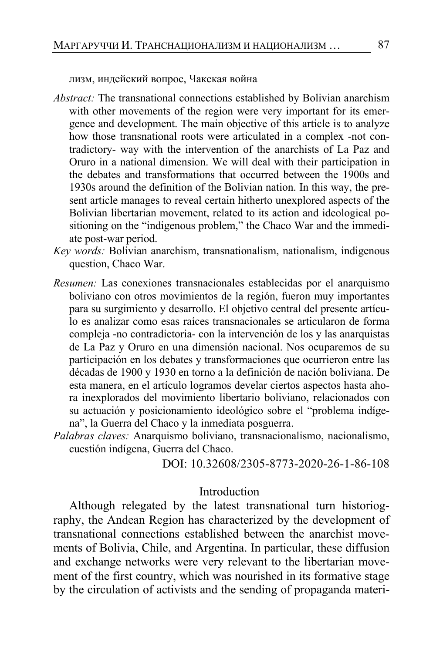лизм, индейский вопрос, Чакская война

- *Abstract:* The transnational connections established by Bolivian anarchism with other movements of the region were very important for its emergence and development. The main objective of this article is to analyze how those transnational roots were articulated in a complex -not contradictory- way with the intervention of the anarchists of La Paz and Oruro in a national dimension. We will deal with their participation in the debates and transformations that occurred between the 1900s and 1930s around the definition of the Bolivian nation. In this way, the present article manages to reveal certain hitherto unexplored aspects of the Bolivian libertarian movement, related to its action and ideological positioning on the "indigenous problem," the Chaco War and the immediate post-war period.
- *Key words:* Bolivian anarchism, transnationalism, nationalism, indigenous question, Chaco War.
- *Resumen:* Las conexiones transnacionales establecidas por el anarquismo boliviano con otros movimientos de la región, fueron muy importantes para su surgimiento y desarrollo. El objetivo central del presente artículo es analizar como esas raíces transnacionales se articularon de forma compleja -no contradictoria- con la intervención de los y las anarquistas de La Paz y Oruro en una dimensión nacional. Nos ocuparemos de su participación en los debates y transformaciones que ocurrieron entre las décadas de 1900 y 1930 en torno a la definición de nación boliviana. De esta manera, en el artículo logramos develar ciertos aspectos hasta ahora inexplorados del movimiento libertario boliviano, relacionados con su actuación y posicionamiento ideológico sobre el "problema indígena", la Guerra del Chaco y la inmediata posguerra.
- *Palabras claves:* Anarquismo boliviano, transnacionalismo, nacionalismo, cuestión indígena, Guerra del Chaco.

DOI: 10.32608/2305-8773-2020-26-1-86-108

#### Introduction

Although relegated by the latest transnational turn historiography, the Andean Region has characterized by the development of transnational connections established between the anarchist movements of Bolivia, Chile, and Argentina. In particular, these diffusion and exchange networks were very relevant to the libertarian movement of the first country, which was nourished in its formative stage by the circulation of activists and the sending of propaganda materi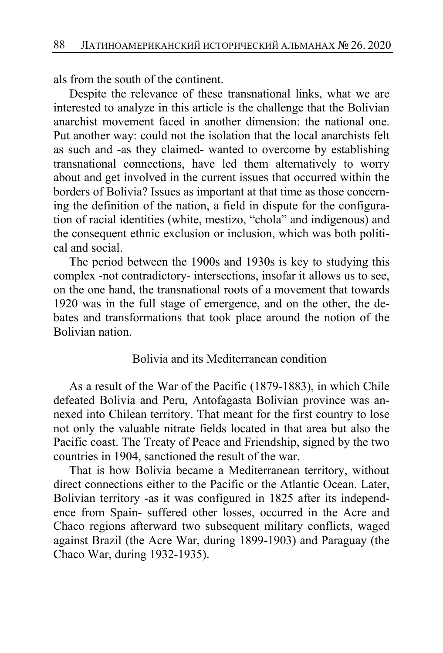als from the south of the continent.

Despite the relevance of these transnational links, what we are interested to analyze in this article is the challenge that the Bolivian anarchist movement faced in another dimension: the national one. Put another way: could not the isolation that the local anarchists felt as such and -as they claimed- wanted to overcome by establishing transnational connections, have led them alternatively to worry about and get involved in the current issues that occurred within the borders of Bolivia? Issues as important at that time as those concerning the definition of the nation, a field in dispute for the configuration of racial identities (white, mestizo, "chola" and indigenous) and the consequent ethnic exclusion or inclusion, which was both political and social.

The period between the 1900s and 1930s is key to studying this complex -not contradictory- intersections, insofar it allows us to see, on the one hand, the transnational roots of a movement that towards 1920 was in the full stage of emergence, and on the other, the debates and transformations that took place around the notion of the Bolivian nation.

#### Bolivia and its Mediterranean condition

As a result of the War of the Pacific (1879-1883), in which Chile defeated Bolivia and Peru, Antofagasta Bolivian province was annexed into Chilean territory. That meant for the first country to lose not only the valuable nitrate fields located in that area but also the Pacific coast. The Treaty of Peace and Friendship, signed by the two countries in 1904, sanctioned the result of the war.

That is how Bolivia became a Mediterranean territory, without direct connections either to the Pacific or the Atlantic Ocean. Later, Bolivian territory -as it was configured in 1825 after its independence from Spain- suffered other losses, occurred in the Acre and Chaco regions afterward two subsequent military conflicts, waged against Brazil (the Acre War, during 1899-1903) and Paraguay (the Chaco War, during 1932-1935).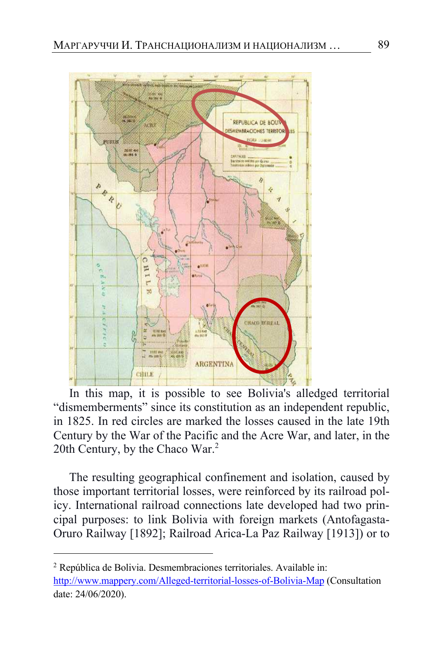

In this map, it is possible to see Bolivia's alledged territorial "dismemberments" since its constitution as an independent republic, in 1825. In red circles are marked the losses caused in the late 19th Century by the War of the Pacific and the Acre War, and later, in the 20th Century, by the Chaco War.<sup>2</sup>

The resulting geographical confinement and isolation, caused by those important territorial losses, were reinforced by its railroad policy. International railroad connections late developed had two principal purposes: to link Bolivia with foreign markets (Antofagasta-Oruro Railway [1892]; Railroad Arica-La Paz Railway [1913]) or to

<sup>2</sup> República de Bolivia. Desmembraciones territoriales. Available in: http://www.mappery.com/Alleged-territorial-losses-of-Bolivia-Map (Consultation date: 24/06/2020).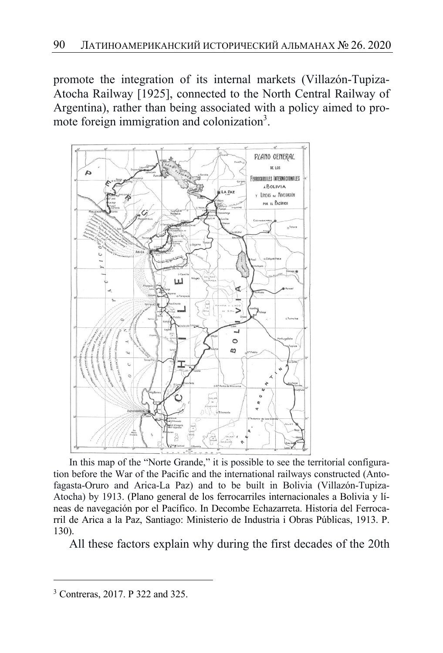promote the integration of its internal markets (Villazón-Tupiza-Atocha Railway [1925], connected to the North Central Railway of Argentina), rather than being associated with a policy aimed to promote foreign immigration and colonization<sup>3</sup>.



In this map of the "Norte Grande," it is possible to see the territorial configuration before the War of the Pacific and the international railways constructed (Antofagasta-Oruro and Arica-La Paz) and to be built in Bolivia (Villazón-Tupiza-Atocha) by 1913. (Plano general de los ferrocarriles internacionales a Bolivia y líneas de navegación por el Pacífico. In Decombe Echazarreta. Historia del Ferrocarril de Arica a la Paz, Santiago: Ministerio de Industria i Obras Públicas, 1913. P. 130).

All these factors explain why during the first decades of the 20th

<sup>3</sup> Contreras, 2017. P 322 and 325.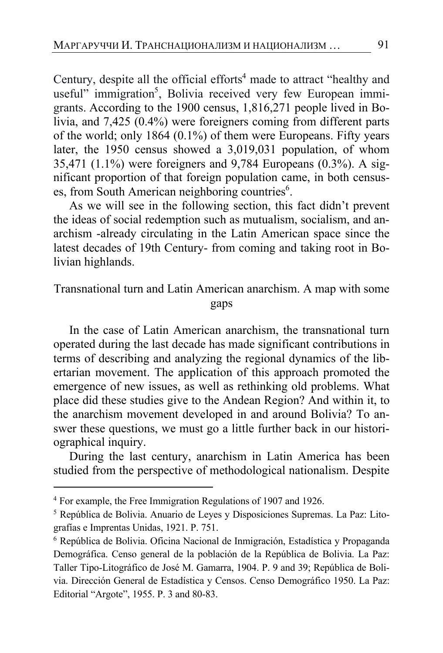Century, despite all the official efforts<sup>4</sup> made to attract "healthy and useful" immigration<sup>5</sup>, Bolivia received very few European immigrants. According to the 1900 census, 1,816,271 people lived in Bolivia, and 7,425 (0.4%) were foreigners coming from different parts of the world; only 1864 (0.1%) of them were Europeans. Fifty years later, the 1950 census showed a 3,019,031 population, of whom 35,471 (1.1%) were foreigners and 9,784 Europeans (0.3%). A significant proportion of that foreign population came, in both censuses, from South American neighboring countries<sup>6</sup>.

As we will see in the following section, this fact didn't prevent the ideas of social redemption such as mutualism, socialism, and anarchism -already circulating in the Latin American space since the latest decades of 19th Century- from coming and taking root in Bolivian highlands.

### Transnational turn and Latin American anarchism. A map with some gaps

In the case of Latin American anarchism, the transnational turn operated during the last decade has made significant contributions in terms of describing and analyzing the regional dynamics of the libertarian movement. The application of this approach promoted the emergence of new issues, as well as rethinking old problems. What place did these studies give to the Andean Region? And within it, to the anarchism movement developed in and around Bolivia? To answer these questions, we must go a little further back in our historiographical inquiry.

During the last century, anarchism in Latin America has been studied from the perspective of methodological nationalism. Despite

<sup>4</sup> For example, the Free Immigration Regulations of 1907 and 1926.

<sup>5</sup> República de Bolivia. Anuario de Leyes y Disposiciones Supremas. La Paz: Litografías e Imprentas Unidas, 1921. P. 751.

<sup>6</sup> República de Bolivia. Oficina Nacional de Inmigración, Estadística y Propaganda Demográfica. Censo general de la población de la República de Bolivia. La Paz: Taller Tipo-Litográfico de José M. Gamarra, 1904. P. 9 and 39; República de Bolivia. Dirección General de Estadística y Censos. Censo Demográfico 1950. La Paz: Editorial "Argote", 1955. P. 3 and 80-83.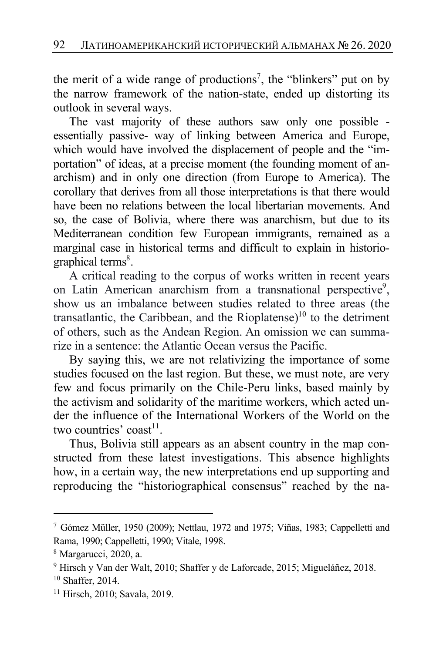the merit of a wide range of productions<sup>7</sup>, the "blinkers" put on by the narrow framework of the nation-state, ended up distorting its outlook in several ways.

The vast majority of these authors saw only one possible essentially passive- way of linking between America and Europe, which would have involved the displacement of people and the "importation" of ideas, at a precise moment (the founding moment of anarchism) and in only one direction (from Europe to America). The corollary that derives from all those interpretations is that there would have been no relations between the local libertarian movements. And so, the case of Bolivia, where there was anarchism, but due to its Mediterranean condition few European immigrants, remained as a marginal case in historical terms and difficult to explain in historiographical terms<sup>8</sup>.

A critical reading to the corpus of works written in recent years on Latin American anarchism from a transnational perspective<sup>9</sup>, show us an imbalance between studies related to three areas (the transatlantic, the Caribbean, and the Rioplatense)<sup>10</sup> to the detriment of others, such as the Andean Region. An omission we can summarize in a sentence: the Atlantic Ocean versus the Pacific.

By saying this, we are not relativizing the importance of some studies focused on the last region. But these, we must note, are very few and focus primarily on the Chile-Peru links, based mainly by the activism and solidarity of the maritime workers, which acted under the influence of the International Workers of the World on the two countries' coast<sup>11</sup>.

Thus, Bolivia still appears as an absent country in the map constructed from these latest investigations. This absence highlights how, in a certain way, the new interpretations end up supporting and reproducing the "historiographical consensus" reached by the na-

<sup>7</sup> Gómez Müller, 1950 (2009); Nettlau, 1972 and 1975; Viñas, 1983; Cappelletti and Rama, 1990; Cappelletti, 1990; Vitale, 1998.

<sup>8</sup> Margarucci, 2020, a.

<sup>9</sup> Hirsch y Van der Walt, 2010; Shaffer y de Laforcade, 2015; Migueláñez, 2018. <sup>10</sup> Shaffer, 2014.

<sup>11</sup> Hirsch, 2010; Savala, 2019.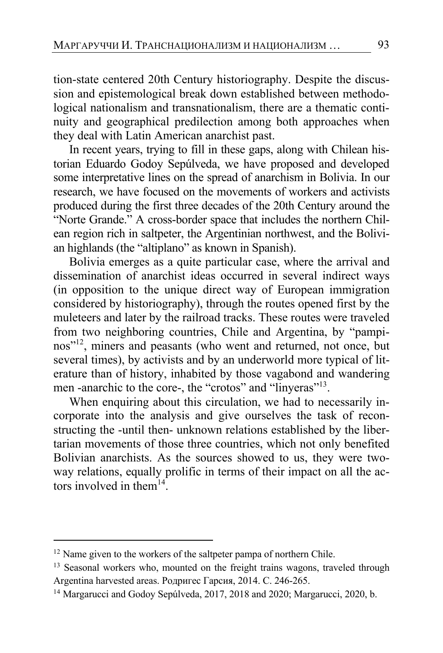tion-state centered 20th Century historiography. Despite the discussion and epistemological break down established between methodological nationalism and transnationalism, there are a thematic continuity and geographical predilection among both approaches when they deal with Latin American anarchist past.

In recent years, trying to fill in these gaps, along with Chilean historian Eduardo Godoy Sepúlveda, we have proposed and developed some interpretative lines on the spread of anarchism in Bolivia. In our research, we have focused on the movements of workers and activists produced during the first three decades of the 20th Century around the "Norte Grande." A cross-border space that includes the northern Chilean region rich in saltpeter, the Argentinian northwest, and the Bolivian highlands (the "altiplano" as known in Spanish).

Bolivia emerges as a quite particular case, where the arrival and dissemination of anarchist ideas occurred in several indirect ways (in opposition to the unique direct way of European immigration considered by historiography), through the routes opened first by the muleteers and later by the railroad tracks. These routes were traveled from two neighboring countries, Chile and Argentina, by "pampinos"12, miners and peasants (who went and returned, not once, but several times), by activists and by an underworld more typical of literature than of history, inhabited by those vagabond and wandering men -anarchic to the core-, the "crotos" and "linyeras"<sup>13</sup>.

When enquiring about this circulation, we had to necessarily incorporate into the analysis and give ourselves the task of reconstructing the -until then- unknown relations established by the libertarian movements of those three countries, which not only benefited Bolivian anarchists. As the sources showed to us, they were twoway relations, equally prolific in terms of their impact on all the actors involved in them $^{14}$ .

<sup>&</sup>lt;sup>12</sup> Name given to the workers of the saltpeter pampa of northern Chile.

<sup>&</sup>lt;sup>13</sup> Seasonal workers who, mounted on the freight trains wagons, traveled through Argentina harvested areas. Родригес Гарсия, 2014. С. 246-265.

<sup>&</sup>lt;sup>14</sup> Margarucci and Godoy Sepúlveda, 2017, 2018 and 2020; Margarucci, 2020, b.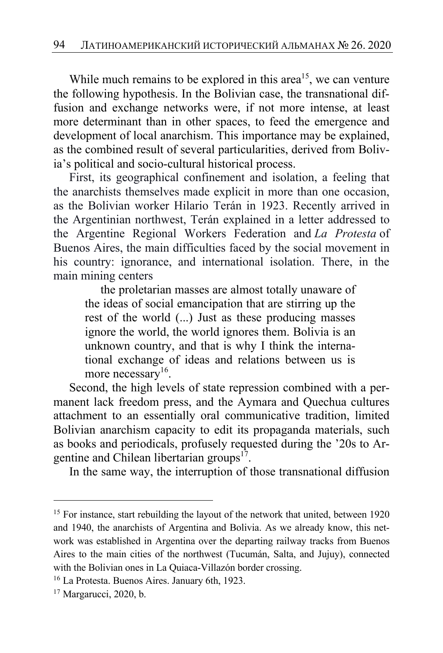While much remains to be explored in this area<sup>15</sup>, we can venture the following hypothesis. In the Bolivian case, the transnational diffusion and exchange networks were, if not more intense, at least more determinant than in other spaces, to feed the emergence and development of local anarchism. This importance may be explained, as the combined result of several particularities, derived from Bolivia's political and socio-cultural historical process.

First, its geographical confinement and isolation, a feeling that the anarchists themselves made explicit in more than one occasion, as the Bolivian worker Hilario Terán in 1923. Recently arrived in the Argentinian northwest, Terán explained in a letter addressed to the Argentine Regional Workers Federation and *La Protesta* of Buenos Aires, the main difficulties faced by the social movement in his country: ignorance, and international isolation. There, in the main mining centers

the proletarian masses are almost totally unaware of the ideas of social emancipation that are stirring up the rest of the world (...) Just as these producing masses ignore the world, the world ignores them. Bolivia is an unknown country, and that is why I think the international exchange of ideas and relations between us is more necessary<sup>16</sup>.

Second, the high levels of state repression combined with a permanent lack freedom press, and the Aymara and Quechua cultures attachment to an essentially oral communicative tradition, limited Bolivian anarchism capacity to edit its propaganda materials, such as books and periodicals, profusely requested during the '20s to Argentine and Chilean libertarian groups $17$ .

In the same way, the interruption of those transnational diffusion

<sup>&</sup>lt;sup>15</sup> For instance, start rebuilding the layout of the network that united, between 1920 and 1940, the anarchists of Argentina and Bolivia. As we already know, this network was established in Argentina over the departing railway tracks from Buenos Aires to the main cities of the northwest (Tucumán, Salta, and Jujuy), connected with the Bolivian ones in La Quiaca-Villazón border crossing.

<sup>16</sup> La Protesta. Buenos Aires. January 6th, 1923.

<sup>&</sup>lt;sup>17</sup> Margarucci, 2020, b.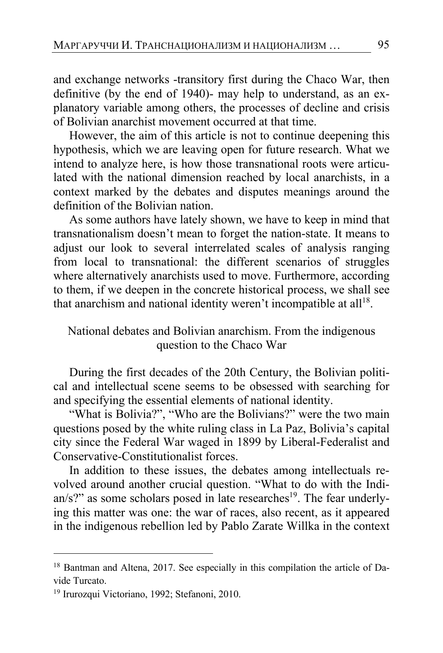and exchange networks -transitory first during the Chaco War, then definitive (by the end of 1940)- may help to understand, as an explanatory variable among others, the processes of decline and crisis of Bolivian anarchist movement occurred at that time.

However, the aim of this article is not to continue deepening this hypothesis, which we are leaving open for future research. What we intend to analyze here, is how those transnational roots were articulated with the national dimension reached by local anarchists, in a context marked by the debates and disputes meanings around the definition of the Bolivian nation.

As some authors have lately shown, we have to keep in mind that transnationalism doesn't mean to forget the nation-state. It means to adjust our look to several interrelated scales of analysis ranging from local to transnational: the different scenarios of struggles where alternatively anarchists used to move. Furthermore, according to them, if we deepen in the concrete historical process, we shall see that anarchism and national identity weren't incompatible at all<sup>18</sup>.

## National debates and Bolivian anarchism. From the indigenous question to the Chaco War

During the first decades of the 20th Century, the Bolivian political and intellectual scene seems to be obsessed with searching for and specifying the essential elements of national identity.

"What is Bolivia?", "Who are the Bolivians?" were the two main questions posed by the white ruling class in La Paz, Bolivia's capital city since the Federal War waged in 1899 by Liberal-Federalist and Conservative-Constitutionalist forces.

In addition to these issues, the debates among intellectuals revolved around another crucial question. "What to do with the Indian/s?" as some scholars posed in late researches<sup>19</sup>. The fear underlying this matter was one: the war of races, also recent, as it appeared in the indigenous rebellion led by Pablo Zarate Willka in the context

<sup>&</sup>lt;sup>18</sup> Bantman and Altena, 2017. See especially in this compilation the article of Davide Turcato.

<sup>19</sup> Irurozqui Victoriano, 1992; Stefanoni, 2010.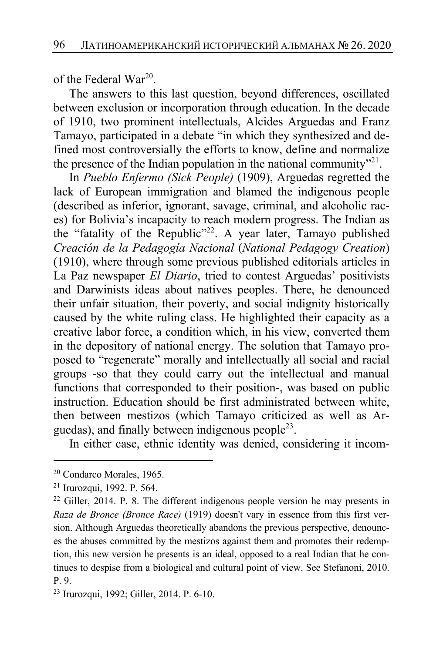of the Federal War20.

The answers to this last question, beyond differences, oscillated between exclusion or incorporation through education. In the decade of 1910, two prominent intellectuals, Alcides Arguedas and Franz Tamayo, participated in a debate "in which they synthesized and defined most controversially the efforts to know, define and normalize the presence of the Indian population in the national community<sup> $21$ </sup>.

In *Pueblo Enfermo (Sick People)* (1909), Arguedas regretted the lack of European immigration and blamed the indigenous people (described as inferior, ignorant, savage, criminal, and alcoholic races) for Bolivia's incapacity to reach modern progress. The Indian as the "fatality of the Republic"<sup>22</sup>. A year later, Tamayo published *Creación de la Pedagogía Nacional* (*National Pedagogy Creation*) (1910), where through some previous published editorials articles in La Paz newspaper *El Diario*, tried to contest Arguedas' positivists and Darwinists ideas about natives peoples. There, he denounced their unfair situation, their poverty, and social indignity historically caused by the white ruling class. He highlighted their capacity as a creative labor force, a condition which, in his view, converted them in the depository of national energy. The solution that Tamayo proposed to "regenerate" morally and intellectually all social and racial groups -so that they could carry out the intellectual and manual functions that corresponded to their position-, was based on public instruction. Education should be first administrated between white, then between mestizos (which Tamayo criticized as well as Arguedas), and finally between indigenous people<sup>23</sup>.

In either case, ethnic identity was denied, considering it incom-

<sup>20</sup> Condarco Morales, 1965.

<sup>21</sup> Irurozqui, 1992. P. 564.

 $22$  Giller, 2014. P. 8. The different indigenous people version he may presents in *Raza de Bronce (Bronce Race)* (1919) doesn't vary in essence from this first version. Although Arguedas theoretically abandons the previous perspective, denounces the abuses committed by the mestizos against them and promotes their redemption, this new version he presents is an ideal, opposed to a real Indian that he continues to despise from a biological and cultural point of view. See Stefanoni, 2010. P. 9.

<sup>23</sup> Irurozqui, 1992; Giller, 2014. P. 6-10.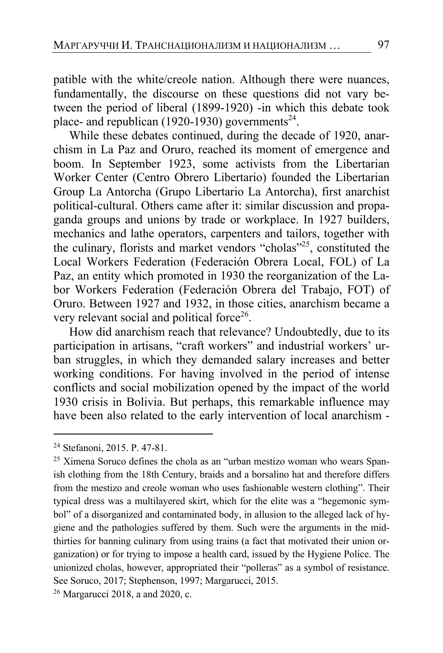patible with the white/creole nation. Although there were nuances, fundamentally, the discourse on these questions did not vary between the period of liberal (1899-1920) -in which this debate took place- and republican (1920-1930) governments<sup>24</sup>.

While these debates continued, during the decade of 1920, anarchism in La Paz and Oruro, reached its moment of emergence and boom. In September 1923, some activists from the Libertarian Worker Center (Centro Obrero Libertario) founded the Libertarian Group La Antorcha (Grupo Libertario La Antorcha), first anarchist political-cultural. Others came after it: similar discussion and propaganda groups and unions by trade or workplace. In 1927 builders, mechanics and lathe operators, carpenters and tailors, together with the culinary, florists and market vendors "cholas"25, constituted the Local Workers Federation (Federación Obrera Local, FOL) of La Paz, an entity which promoted in 1930 the reorganization of the Labor Workers Federation (Federación Obrera del Trabajo, FOT) of Oruro. Between 1927 and 1932, in those cities, anarchism became a very relevant social and political force<sup>26</sup>.

How did anarchism reach that relevance? Undoubtedly, due to its participation in artisans, "craft workers" and industrial workers' urban struggles, in which they demanded salary increases and better working conditions. For having involved in the period of intense conflicts and social mobilization opened by the impact of the world 1930 crisis in Bolivia. But perhaps, this remarkable influence may have been also related to the early intervention of local anarchism -

<sup>24</sup> Stefanoni, 2015. P. 47-81.

<sup>&</sup>lt;sup>25</sup> Ximena Soruco defines the chola as an "urban mestizo woman who wears Spanish clothing from the 18th Century, braids and a borsalino hat and therefore differs from the mestizo and creole woman who uses fashionable western clothing". Their typical dress was a multilayered skirt, which for the elite was a "hegemonic symbol" of a disorganized and contaminated body, in allusion to the alleged lack of hygiene and the pathologies suffered by them. Such were the arguments in the midthirties for banning culinary from using trains (a fact that motivated their union organization) or for trying to impose a health card, issued by the Hygiene Police. The unionized cholas, however, appropriated their "polleras" as a symbol of resistance. See Soruco, 2017; Stephenson, 1997; Margarucci, 2015.

<sup>26</sup> Margarucci 2018, a and 2020, c.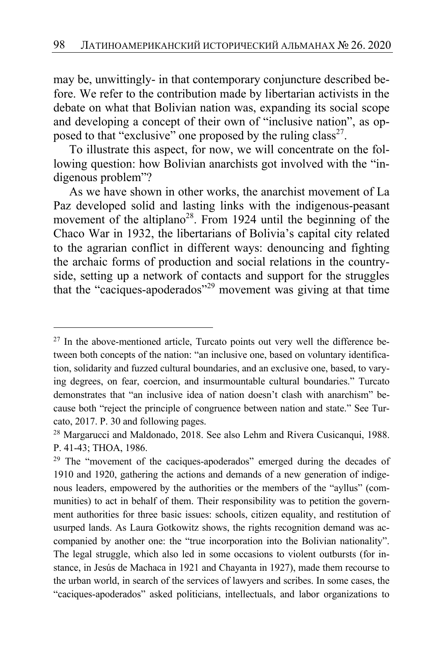may be, unwittingly- in that contemporary conjuncture described before. We refer to the contribution made by libertarian activists in the debate on what that Bolivian nation was, expanding its social scope and developing a concept of their own of "inclusive nation", as opposed to that "exclusive" one proposed by the ruling  $class^{27}$ .

To illustrate this aspect, for now, we will concentrate on the following question: how Bolivian anarchists got involved with the "indigenous problem"?

As we have shown in other works, the anarchist movement of La Paz developed solid and lasting links with the indigenous-peasant movement of the altiplano<sup>28</sup>. From 1924 until the beginning of the Chaco War in 1932, the libertarians of Bolivia's capital city related to the agrarian conflict in different ways: denouncing and fighting the archaic forms of production and social relations in the countryside, setting up a network of contacts and support for the struggles that the "caciques-apoderados"<sup>29</sup> movement was giving at that time

 $27$  In the above-mentioned article, Turcato points out very well the difference between both concepts of the nation: "an inclusive one, based on voluntary identification, solidarity and fuzzed cultural boundaries, and an exclusive one, based, to varying degrees, on fear, coercion, and insurmountable cultural boundaries." Turcato demonstrates that "an inclusive idea of nation doesn't clash with anarchism" because both "reject the principle of congruence between nation and state." See Turcato, 2017. P. 30 and following pages.

<sup>28</sup> Margarucci and Maldonado, 2018. See also Lehm and Rivera Cusicanqui, 1988. P. 41-43; THOA, 1986. 29 The "movement of the caciques-apoderados" emerged during the decades of

<sup>1910</sup> and 1920, gathering the actions and demands of a new generation of indigenous leaders, empowered by the authorities or the members of the "ayllus" (communities) to act in behalf of them. Their responsibility was to petition the government authorities for three basic issues: schools, citizen equality, and restitution of usurped lands. As Laura Gotkowitz shows, the rights recognition demand was accompanied by another one: the "true incorporation into the Bolivian nationality". The legal struggle, which also led in some occasions to violent outbursts (for instance, in Jesús de Machaca in 1921 and Chayanta in 1927), made them recourse to the urban world, in search of the services of lawyers and scribes. In some cases, the "caciques-apoderados" asked politicians, intellectuals, and labor organizations to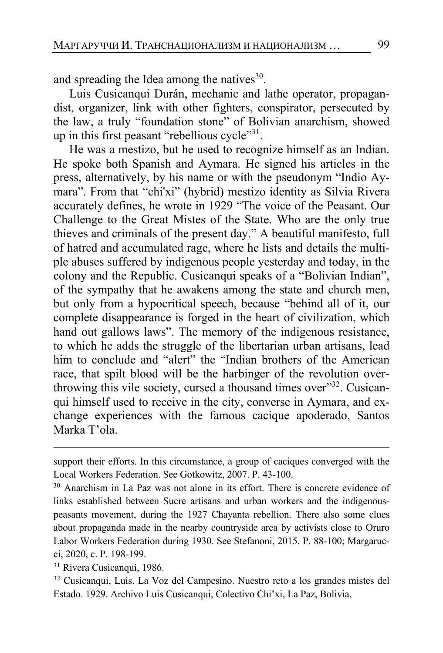and spreading the Idea among the natives $^{30}$ .

Luis Cusicanqui Durán, mechanic and lathe operator, propagandist, organizer, link with other fighters, conspirator, persecuted by the law, a truly "foundation stone" of Bolivian anarchism, showed up in this first peasant "rebellious cycle"<sup>31</sup>.

He was a mestizo, but he used to recognize himself as an Indian. He spoke both Spanish and Aymara. He signed his articles in the press, alternatively, by his name or with the pseudonym "Indio Aymara". From that "chi'xi" (hybrid) mestizo identity as Silvia Rivera accurately defines, he wrote in 1929 "The voice of the Peasant. Our Challenge to the Great Mistes of the State. Who are the only true thieves and criminals of the present day." A beautiful manifesto, full of hatred and accumulated rage, where he lists and details the multiple abuses suffered by indigenous people yesterday and today, in the colony and the Republic. Cusicanqui speaks of a "Bolivian Indian", of the sympathy that he awakens among the state and church men, but only from a hypocritical speech, because "behind all of it, our complete disappearance is forged in the heart of civilization, which hand out gallows laws". The memory of the indigenous resistance, to which he adds the struggle of the libertarian urban artisans, lead him to conclude and "alert" the "Indian brothers of the American race, that spilt blood will be the harbinger of the revolution overthrowing this vile society, cursed a thousand times over"<sup>32</sup>. Cusicanqui himself used to receive in the city, converse in Aymara, and exchange experiences with the famous cacique apoderado, Santos Marka T'ola.

support their efforts. In this circumstance, a group of caciques converged with the Local Workers Federation. See Gotkowitz, 2007. P. 43-100.<br><sup>30</sup> Anarchism in La Paz was not alone in its effort. There is concrete evidence of

links established between Sucre artisans and urban workers and the indigenouspeasants movement, during the 1927 Chayanta rebellion. There also some clues about propaganda made in the nearby countryside area by activists close to Oruro Labor Workers Federation during 1930. See Stefanoni, 2015. P. 88-100; Margarucci, 2020, c. P. 198-199. 31 Rivera Cusicanqui, 1986.

<sup>32</sup> Cusicanqui, Luis. La Voz del Campesino. Nuestro reto a los grandes mistes del Estado. 1929. Archivo Luis Cusicanqui, Colectivo Chi'xi, La Paz, Bolivia.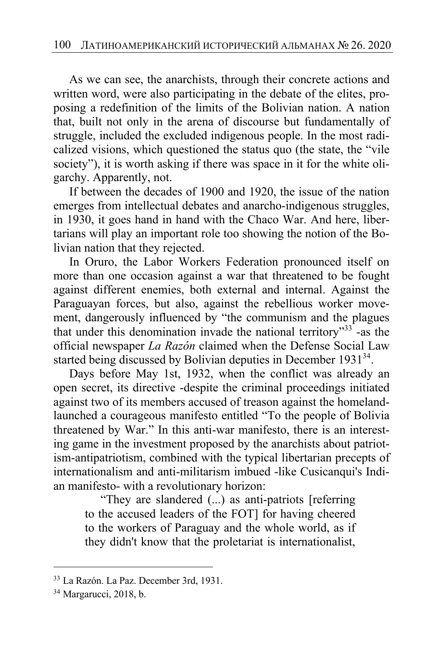As we can see, the anarchists, through their concrete actions and written word, were also participating in the debate of the elites, proposing a redefinition of the limits of the Bolivian nation. A nation that, built not only in the arena of discourse but fundamentally of struggle, included the excluded indigenous people. In the most radicalized visions, which questioned the status quo (the state, the "vile society"), it is worth asking if there was space in it for the white oligarchy. Apparently, not.

If between the decades of 1900 and 1920, the issue of the nation emerges from intellectual debates and anarcho-indigenous struggles, in 1930, it goes hand in hand with the Chaco War. And here, libertarians will play an important role too showing the notion of the Bolivian nation that they rejected.

In Oruro, the Labor Workers Federation pronounced itself on more than one occasion against a war that threatened to be fought against different enemies, both external and internal. Against the Paraguayan forces, but also, against the rebellious worker movement, dangerously influenced by "the communism and the plagues that under this denomination invade the national territory"<sup>33</sup>-as the official newspaper *La Razón* claimed when the Defense Social Law started being discussed by Bolivian deputies in December 1931<sup>34</sup>.

Days before May 1st, 1932, when the conflict was already an open secret, its directive -despite the criminal proceedings initiated against two of its members accused of treason against the homelandlaunched a courageous manifesto entitled "To the people of Bolivia threatened by War." In this anti-war manifesto, there is an interesting game in the investment proposed by the anarchists about patriotism-antipatriotism, combined with the typical libertarian precepts of internationalism and anti-militarism imbued -like Cusicanqui's Indian manifesto- with a revolutionary horizon:

"They are slandered (...) as anti-patriots [referring to the accused leaders of the FOT] for having cheered to the workers of Paraguay and the whole world, as if they didn't know that the proletariat is internationalist,

<sup>33</sup> La Razón. La Paz. December 3rd, 1931.

<sup>34</sup> Margarucci, 2018, b.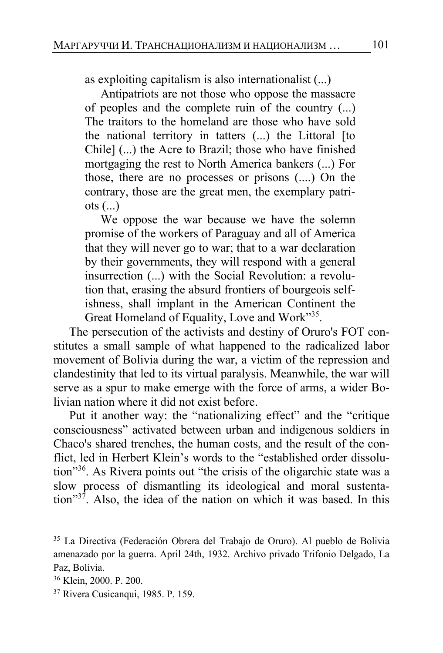as exploiting capitalism is also internationalist (...)

Antipatriots are not those who oppose the massacre of peoples and the complete ruin of the country (...) The traitors to the homeland are those who have sold the national territory in tatters (...) the Littoral [to Chile] (...) the Acre to Brazil; those who have finished mortgaging the rest to North America bankers (...) For those, there are no processes or prisons (....) On the contrary, those are the great men, the exemplary patri $ots (...)$ 

We oppose the war because we have the solemn promise of the workers of Paraguay and all of America that they will never go to war; that to a war declaration by their governments, they will respond with a general insurrection (...) with the Social Revolution: a revolution that, erasing the absurd frontiers of bourgeois selfishness, shall implant in the American Continent the Great Homeland of Equality, Love and Work"<sup>35</sup>.

The persecution of the activists and destiny of Oruro's FOT constitutes a small sample of what happened to the radicalized labor movement of Bolivia during the war, a victim of the repression and clandestinity that led to its virtual paralysis. Meanwhile, the war will serve as a spur to make emerge with the force of arms, a wider Bolivian nation where it did not exist before.

Put it another way: the "nationalizing effect" and the "critique consciousness" activated between urban and indigenous soldiers in Chaco's shared trenches, the human costs, and the result of the conflict, led in Herbert Klein's words to the "established order dissolution"36. As Rivera points out "the crisis of the oligarchic state was a slow process of dismantling its ideological and moral sustentation"<sup>37</sup>. Also, the idea of the nation on which it was based. In this

<sup>35</sup> La Directiva (Federación Obrera del Trabajo de Oruro). Al pueblo de Bolivia amenazado por la guerra. April 24th, 1932. Archivo privado Trifonio Delgado, La Paz, Bolivia.

<sup>36</sup> Klein, 2000. P. 200.

<sup>37</sup> Rivera Cusicanqui, 1985. P. 159.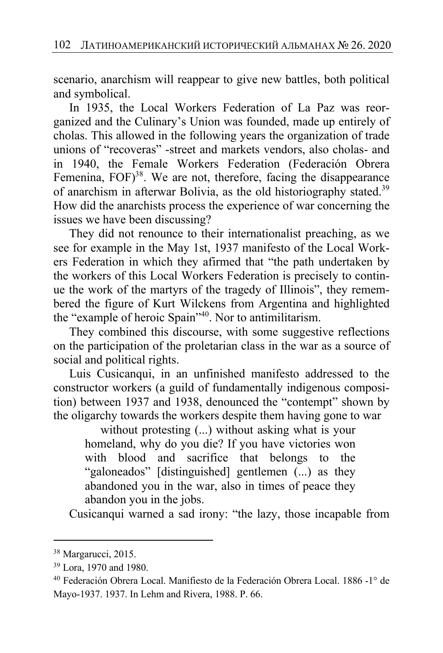scenario, anarchism will reappear to give new battles, both political and symbolical.

In 1935, the Local Workers Federation of La Paz was reorganized and the Culinary's Union was founded, made up entirely of cholas. This allowed in the following years the organization of trade unions of "recoveras" -street and markets vendors, also cholas- and in 1940, the Female Workers Federation (Federación Obrera Femenina,  $FOF$ <sup>38</sup>. We are not, therefore, facing the disappearance of anarchism in afterwar Bolivia, as the old historiography stated.<sup>39</sup> How did the anarchists process the experience of war concerning the issues we have been discussing?

They did not renounce to their internationalist preaching, as we see for example in the May 1st, 1937 manifesto of the Local Workers Federation in which they afirmed that "the path undertaken by the workers of this Local Workers Federation is precisely to continue the work of the martyrs of the tragedy of Illinois", they remembered the figure of Kurt Wilckens from Argentina and highlighted the "example of heroic Spain"<sup>40</sup>. Nor to antimilitarism.

They combined this discourse, with some suggestive reflections on the participation of the proletarian class in the war as a source of social and political rights.

Luis Cusicanqui, in an unfinished manifesto addressed to the constructor workers (a guild of fundamentally indigenous composition) between 1937 and 1938, denounced the "contempt" shown by the oligarchy towards the workers despite them having gone to war

without protesting (...) without asking what is your homeland, why do you die? If you have victories won with blood and sacrifice that belongs to the "galoneados" [distinguished] gentlemen (...) as they abandoned you in the war, also in times of peace they abandon you in the jobs.

Cusicanqui warned a sad irony: "the lazy, those incapable from

<sup>38</sup> Margarucci, 2015.

<sup>39</sup> Lora, 1970 and 1980.

<sup>40</sup> Federación Obrera Local. Manifiesto de la Federación Obrera Local. 1886 -1° de Mayo-1937. 1937. In Lehm and Rivera, 1988. P. 66.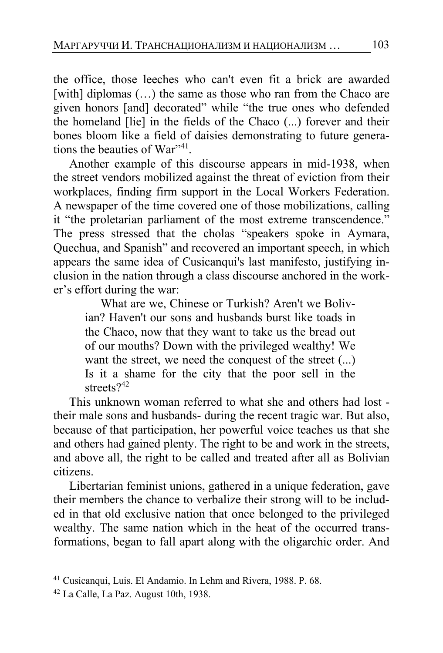the office, those leeches who can't even fit a brick are awarded [with] diplomas (...) the same as those who ran from the Chaco are given honors [and] decorated" while "the true ones who defended the homeland [lie] in the fields of the Chaco (...) forever and their bones bloom like a field of daisies demonstrating to future generations the beauties of War",41

Another example of this discourse appears in mid-1938, when the street vendors mobilized against the threat of eviction from their workplaces, finding firm support in the Local Workers Federation. A newspaper of the time covered one of those mobilizations, calling it "the proletarian parliament of the most extreme transcendence." The press stressed that the cholas "speakers spoke in Aymara, Quechua, and Spanish" and recovered an important speech, in which appears the same idea of Cusicanqui's last manifesto, justifying inclusion in the nation through a class discourse anchored in the worker's effort during the war:

What are we, Chinese or Turkish? Aren't we Bolivian? Haven't our sons and husbands burst like toads in the Chaco, now that they want to take us the bread out of our mouths? Down with the privileged wealthy! We want the street, we need the conquest of the street (...) Is it a shame for the city that the poor sell in the streets<sup>242</sup>

This unknown woman referred to what she and others had lost their male sons and husbands- during the recent tragic war. But also, because of that participation, her powerful voice teaches us that she and others had gained plenty. The right to be and work in the streets, and above all, the right to be called and treated after all as Bolivian citizens.

Libertarian feminist unions, gathered in a unique federation, gave their members the chance to verbalize their strong will to be included in that old exclusive nation that once belonged to the privileged wealthy. The same nation which in the heat of the occurred transformations, began to fall apart along with the oligarchic order. And

<sup>41</sup> Cusicanqui, Luis. El Andamio. In Lehm and Rivera, 1988. P. 68.

<sup>42</sup> La Calle, La Paz. August 10th, 1938.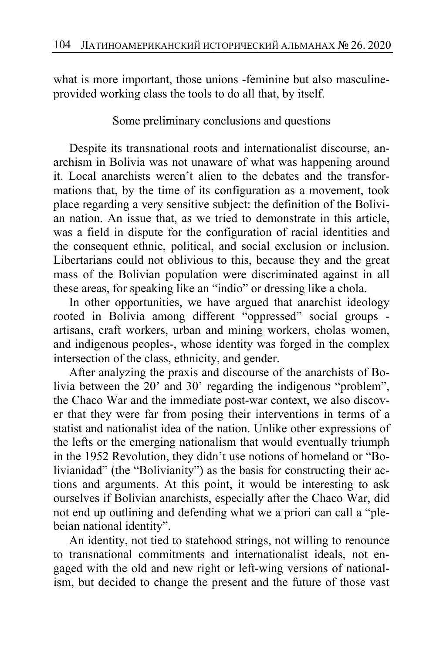what is more important, those unions -feminine but also masculineprovided working class the tools to do all that, by itself.

Some preliminary conclusions and questions

Despite its transnational roots and internationalist discourse, anarchism in Bolivia was not unaware of what was happening around it. Local anarchists weren't alien to the debates and the transformations that, by the time of its configuration as a movement, took place regarding a very sensitive subject: the definition of the Bolivian nation. An issue that, as we tried to demonstrate in this article, was a field in dispute for the configuration of racial identities and the consequent ethnic, political, and social exclusion or inclusion. Libertarians could not oblivious to this, because they and the great mass of the Bolivian population were discriminated against in all these areas, for speaking like an "indio" or dressing like a chola.

In other opportunities, we have argued that anarchist ideology rooted in Bolivia among different "oppressed" social groups artisans, craft workers, urban and mining workers, cholas women, and indigenous peoples-, whose identity was forged in the complex intersection of the class, ethnicity, and gender.

After analyzing the praxis and discourse of the anarchists of Bolivia between the 20' and 30' regarding the indigenous "problem", the Chaco War and the immediate post-war context, we also discover that they were far from posing their interventions in terms of a statist and nationalist idea of the nation. Unlike other expressions of the lefts or the emerging nationalism that would eventually triumph in the 1952 Revolution, they didn't use notions of homeland or "Bolivianidad" (the "Bolivianity") as the basis for constructing their actions and arguments. At this point, it would be interesting to ask ourselves if Bolivian anarchists, especially after the Chaco War, did not end up outlining and defending what we a priori can call a "plebeian national identity".

An identity, not tied to statehood strings, not willing to renounce to transnational commitments and internationalist ideals, not engaged with the old and new right or left-wing versions of nationalism, but decided to change the present and the future of those vast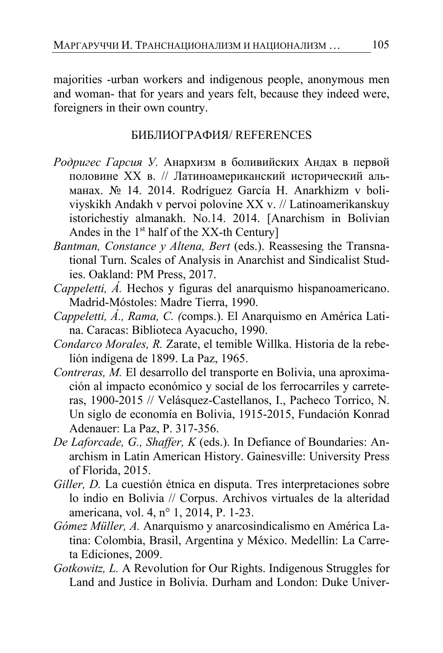majorities -urban workers and indigenous people, anonymous men and woman- that for years and years felt, because they indeed were, foreigners in their own country.

### БИБЛИОГРАФИЯ/ REFERENCES

- *Родригес Гарсия У.* Анархизм в боливийских Андах в первой половине ХХ в. // Латиноамериканский исторический альманах. № 14. 2014. Rodríguez García H. Anarkhizm v boliviyskikh Andakh v pervoi polovine XX v. // Latinoamerikanskuy istorichestiy almanakh. No.14. 2014. [Anarchism in Bolivian Andes in the  $1<sup>st</sup>$  half of the XX-th Century]
- *Bantman, Constance y Altena, Bert* (eds.). Reassesing the Transnational Turn. Scales of Analysis in Anarchist and Sindicalist Studies. Oakland: PM Press, 2017.
- *Cappeletti, Á.* Hechos y figuras del anarquismo hispanoamericano. Madrid-Móstoles: Madre Tierra, 1990.
- *Cappeletti, Á., Rama, C. (*comps.). El Anarquismo en América Latina. Caracas: Biblioteca Ayacucho, 1990.
- *Condarco Morales, R.* Zarate, el temible Willka. Historia de la rebelión indígena de 1899. La Paz, 1965.
- *Contreras, M.* El desarrollo del transporte en Bolivia, una aproximación al impacto económico y social de los ferrocarriles y carreteras, 1900-2015 // Velásquez-Castellanos, I., Pacheco Torrico, N. Un siglo de economía en Bolivia, 1915-2015, Fundación Konrad Adenauer: La Paz, P. 317-356.
- *De Laforcade, G., Shaffer, K* (eds.). In Defiance of Boundaries: Anarchism in Latin American History. Gainesville: University Press of Florida, 2015.
- *Giller, D.* La cuestión étnica en disputa. Tres interpretaciones sobre lo indio en Bolivia // Corpus. Archivos virtuales de la alteridad americana, vol. 4, n° 1, 2014, P. 1-23.
- *Gómez Müller, A.* Anarquismo y anarcosindicalismo en América Latina: Colombia, Brasil, Argentina y México. Medellín: La Carreta Ediciones, 2009.
- *Gotkowitz, L.* A Revolution for Our Rights. Indigenous Struggles for Land and Justice in Bolivia. Durham and London: Duke Univer-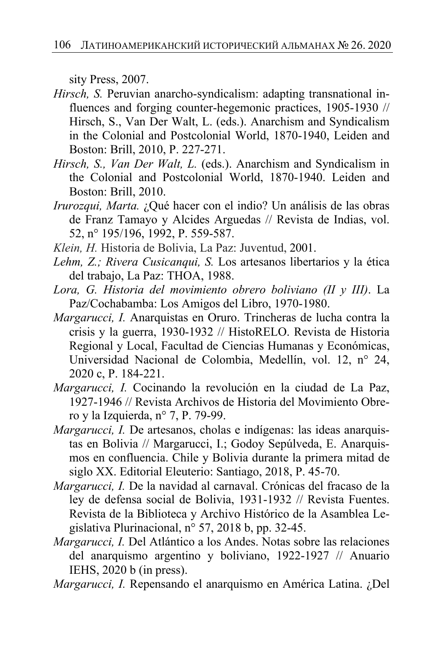sity Press, 2007.

- *Hirsch, S.* Peruvian anarcho-syndicalism: adapting transnational influences and forging counter-hegemonic practices, 1905-1930 // Hirsch, S., Van Der Walt, L. (eds.). Anarchism and Syndicalism in the Colonial and Postcolonial World, 1870-1940, Leiden and Boston: Brill, 2010, P. 227-271.
- *Hirsch, S., Van Der Walt, L.* (eds.). Anarchism and Syndicalism in the Colonial and Postcolonial World, 1870-1940. Leiden and Boston: Brill, 2010.
- *Irurozqui, Marta.* ¿Qué hacer con el indio? Un análisis de las obras de Franz Tamayo y Alcides Arguedas // Revista de Indias, vol. 52, n° 195/196, 1992, P. 559-587.
- *Klein, H.* Historia de Bolivia, La Paz: Juventud, 2001.
- *Lehm, Z.; Rivera Cusicanqui, S.* Los artesanos libertarios y la ética del trabajo, La Paz: THOA, 1988.
- *Lora, G. Historia del movimiento obrero boliviano (II y III)*. La Paz/Cochabamba: Los Amigos del Libro, 1970-1980.
- *Margarucci, I.* Anarquistas en Oruro. Trincheras de lucha contra la crisis y la guerra, 1930-1932 // HistoRELO. Revista de Historia Regional y Local, Facultad de Ciencias Humanas y Económicas, Universidad Nacional de Colombia, Medellín, vol. 12, n° 24, 2020 c, P. 184-221.
- *Margarucci, I.* Cocinando la revolución en la ciudad de La Paz, 1927-1946 // Revista Archivos de Historia del Movimiento Obrero y la Izquierda, n° 7, P. 79-99.
- *Margarucci, I.* De artesanos, cholas e indígenas: las ideas anarquistas en Bolivia // Margarucci, I.; Godoy Sepúlveda, E. Anarquismos en confluencia. Chile y Bolivia durante la primera mitad de siglo XX. Editorial Eleuterio: Santiago, 2018, P. 45-70.
- *Margarucci, I.* De la navidad al carnaval. Crónicas del fracaso de la ley de defensa social de Bolivia, 1931-1932 // Revista Fuentes. Revista de la Biblioteca y Archivo Histórico de la Asamblea Legislativa Plurinacional, n° 57, 2018 b, pp. 32-45.
- *Margarucci, I.* Del Atlántico a los Andes. Notas sobre las relaciones del anarquismo argentino y boliviano, 1922-1927 // Anuario IEHS, 2020 b (in press).
- *Margarucci, I.* Repensando el anarquismo en América Latina. ¿Del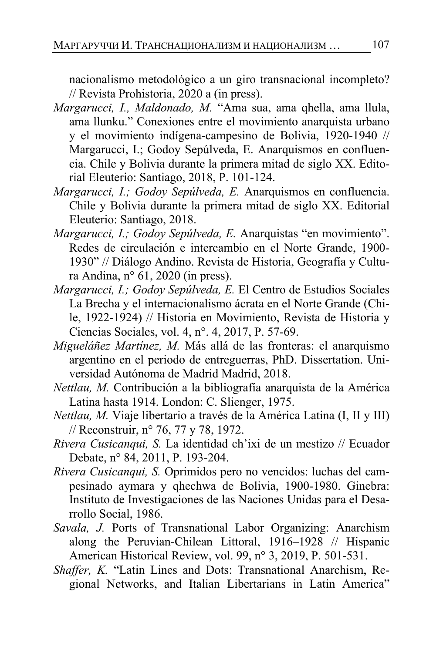nacionalismo metodológico a un giro transnacional incompleto? // Revista Prohistoria, 2020 a (in press).

- *Margarucci, I., Maldonado, M.* "Ama sua, ama qhella, ama llula, ama llunku." Conexiones entre el movimiento anarquista urbano y el movimiento indígena-campesino de Bolivia, 1920-1940 // Margarucci, I.; Godoy Sepúlveda, E. Anarquismos en confluencia. Chile y Bolivia durante la primera mitad de siglo XX. Editorial Eleuterio: Santiago, 2018, P. 101-124.
- *Margarucci, I.; Godoy Sepúlveda, E.* Anarquismos en confluencia. Chile y Bolivia durante la primera mitad de siglo XX. Editorial Eleuterio: Santiago, 2018.
- *Margarucci, I.; Godoy Sepúlveda, E.* Anarquistas "en movimiento". Redes de circulación e intercambio en el Norte Grande, 1900- 1930" // Diálogo Andino. Revista de Historia, Geografía y Cultura Andina, n° 61, 2020 (in press).
- *Margarucci, I.; Godoy Sepúlveda, E.* El Centro de Estudios Sociales La Brecha y el internacionalismo ácrata en el Norte Grande (Chile, 1922-1924) // Historia en Movimiento, Revista de Historia y Ciencias Sociales, vol. 4, n°. 4, 2017, P. 57-69.
- *Migueláñez Martínez, M.* Más allá de las fronteras: el anarquismo argentino en el periodo de entreguerras, PhD. Dissertation. Universidad Autónoma de Madrid Madrid, 2018.
- *Nettlau, M.* Contribución a la bibliografía anarquista de la América Latina hasta 1914. London: C. Slienger, 1975.
- *Nettlau, M.* Viaje libertario a través de la América Latina (I, II y III) // Reconstruir, n° 76, 77 y 78, 1972.
- *Rivera Cusicanqui, S.* La identidad ch'ixi de un mestizo // Ecuador Debate, n° 84, 2011, P. 193-204.
- *Rivera Cusicanqui, S.* Oprimidos pero no vencidos: luchas del campesinado aymara y qhechwa de Bolivia, 1900-1980. Ginebra: Instituto de Investigaciones de las Naciones Unidas para el Desarrollo Social, 1986.
- *Savala, J.* Ports of Transnational Labor Organizing: Anarchism along the Peruvian-Chilean Littoral, 1916–1928 // Hispanic American Historical Review, vol. 99, n° 3, 2019, P. 501-531.
- *Shaffer, K.* "Latin Lines and Dots: Transnational Anarchism, Regional Networks, and Italian Libertarians in Latin America"